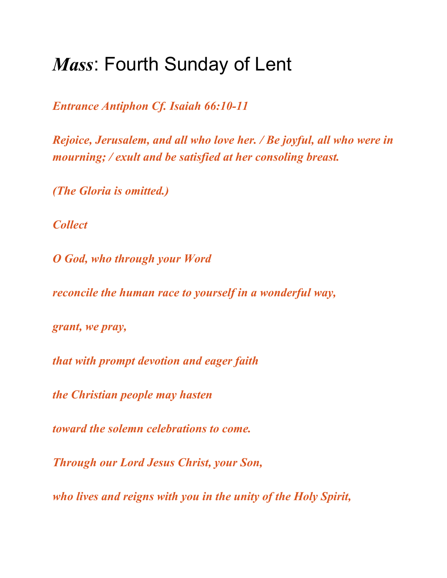# *Mass*: Fourth Sunday of Lent

*Entrance Antiphon Cf. Isaiah 66:10-11*

*Rejoice, Jerusalem, and all who love her. / Be joyful, all who were in mourning; / exult and be satisfied at her consoling breast.*

*(The Gloria is omitted.)*

*Collect*

*O God, who through your Word*

*reconcile the human race to yourself in a wonderful way,*

*grant, we pray,*

*that with prompt devotion and eager faith*

*the Christian people may hasten*

*toward the solemn celebrations to come.*

*Through our Lord Jesus Christ, your Son,*

*who lives and reigns with you in the unity of the Holy Spirit,*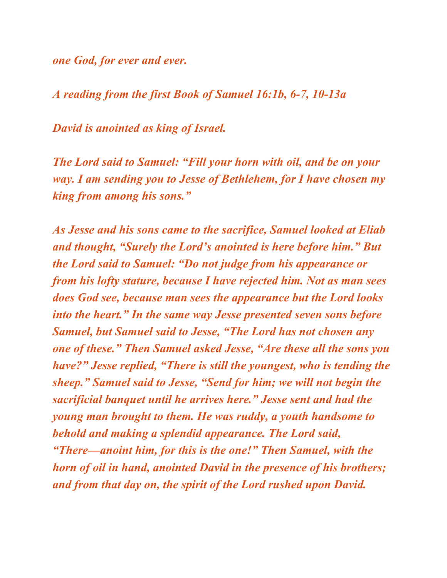*one God, for ever and ever.*

*A reading from the first Book of Samuel 16:1b, 6-7, 10-13a*

*David is anointed as king of Israel.*

*The Lord said to Samuel: "Fill your horn with oil, and be on your way. I am sending you to Jesse of Bethlehem, for I have chosen my king from among his sons."*

*As Jesse and his sons came to the sacrifice, Samuel looked at Eliab and thought, "Surely the Lord's anointed is here before him." But the Lord said to Samuel: "Do not judge from his appearance or from his lofty stature, because I have rejected him. Not as man sees does God see, because man sees the appearance but the Lord looks into the heart." In the same way Jesse presented seven sons before Samuel, but Samuel said to Jesse, "The Lord has not chosen any one of these." Then Samuel asked Jesse, "Are these all the sons you have?" Jesse replied, "There is still the youngest, who is tending the sheep." Samuel said to Jesse, "Send for him; we will not begin the sacrificial banquet until he arrives here." Jesse sent and had the young man brought to them. He was ruddy, a youth handsome to behold and making a splendid appearance. The Lord said, "There—anoint him, for this is the one!" Then Samuel, with the horn of oil in hand, anointed David in the presence of his brothers; and from that day on, the spirit of the Lord rushed upon David.*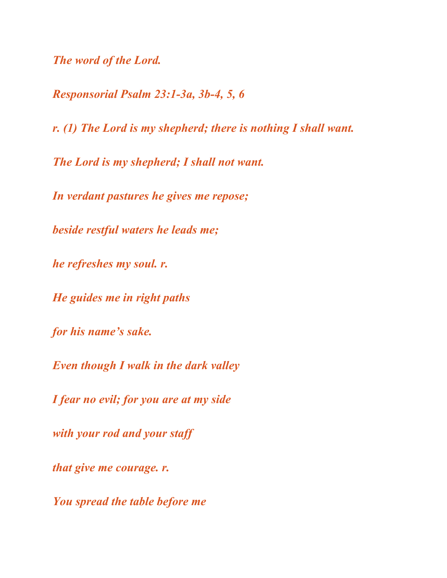*The word of the Lord.*

*Responsorial Psalm 23:1-3a, 3b-4, 5, 6*

*r. (1) The Lord is my shepherd; there is nothing I shall want.*

*The Lord is my shepherd; I shall not want.*

*In verdant pastures he gives me repose;*

*beside restful waters he leads me;*

*he refreshes my soul. r.*

*He guides me in right paths*

*for his name's sake.*

*Even though I walk in the dark valley*

*I fear no evil; for you are at my side*

*with your rod and your staff*

*that give me courage. r.*

*You spread the table before me*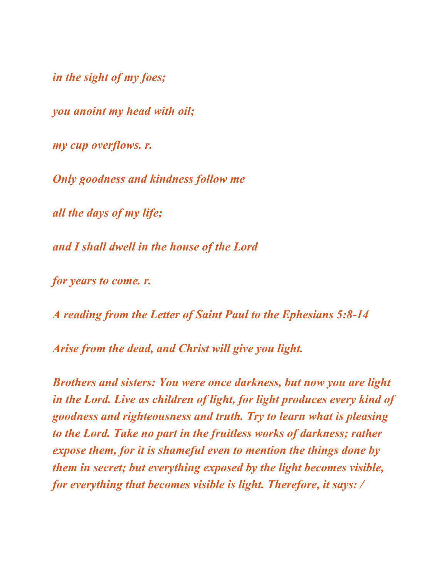*in the sight of my foes;*

*you anoint my head with oil;*

*my cup overflows. r.*

*Only goodness and kindness follow me*

*all the days of my life;*

*and I shall dwell in the house of the Lord*

*for years to come. r.*

*A reading from the Letter of Saint Paul to the Ephesians 5:8-14*

*Arise from the dead, and Christ will give you light.*

*Brothers and sisters: You were once darkness, but now you are light in the Lord. Live as children of light, for light produces every kind of goodness and righteousness and truth. Try to learn what is pleasing to the Lord. Take no part in the fruitless works of darkness; rather expose them, for it is shameful even to mention the things done by them in secret; but everything exposed by the light becomes visible, for everything that becomes visible is light. Therefore, it says: /*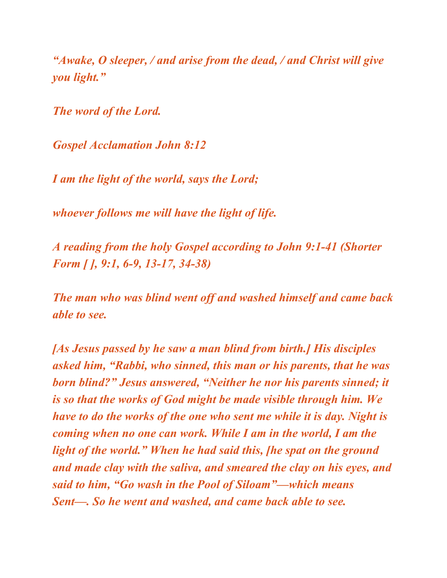*"Awake, O sleeper, / and arise from the dead, / and Christ will give you light."*

*The word of the Lord.*

*Gospel Acclamation John 8:12*

*I am the light of the world, says the Lord;*

*whoever follows me will have the light of life.*

*A reading from the holy Gospel according to John 9:1-41 (Shorter Form [ ], 9:1, 6-9, 13-17, 34-38)*

*The man who was blind went off and washed himself and came back able to see.*

*[As Jesus passed by he saw a man blind from birth.] His disciples asked him, "Rabbi, who sinned, this man or his parents, that he was born blind?" Jesus answered, "Neither he nor his parents sinned; it is so that the works of God might be made visible through him. We have to do the works of the one who sent me while it is day. Night is coming when no one can work. While I am in the world, I am the light of the world." When he had said this, [he spat on the ground and made clay with the saliva, and smeared the clay on his eyes, and said to him, "Go wash in the Pool of Siloam"—which means Sent—. So he went and washed, and came back able to see.*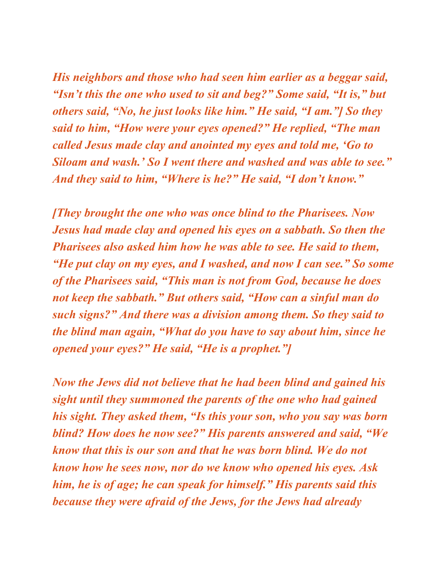*His neighbors and those who had seen him earlier as a beggar said, "Isn't this the one who used to sit and beg?" Some said, "It is," but others said, "No, he just looks like him." He said, "I am."] So they said to him, "How were your eyes opened?" He replied, "The man called Jesus made clay and anointed my eyes and told me, 'Go to Siloam and wash.' So I went there and washed and was able to see." And they said to him, "Where is he?" He said, "I don't know."*

*[They brought the one who was once blind to the Pharisees. Now Jesus had made clay and opened his eyes on a sabbath. So then the Pharisees also asked him how he was able to see. He said to them, "He put clay on my eyes, and I washed, and now I can see." So some of the Pharisees said, "This man is not from God, because he does not keep the sabbath." But others said, "How can a sinful man do such signs?" And there was a division among them. So they said to the blind man again, "What do you have to say about him, since he opened your eyes?" He said, "He is a prophet."]*

*Now the Jews did not believe that he had been blind and gained his sight until they summoned the parents of the one who had gained his sight. They asked them, "Is this your son, who you say was born blind? How does he now see?" His parents answered and said, "We know that this is our son and that he was born blind. We do not know how he sees now, nor do we know who opened his eyes. Ask him, he is of age; he can speak for himself." His parents said this because they were afraid of the Jews, for the Jews had already*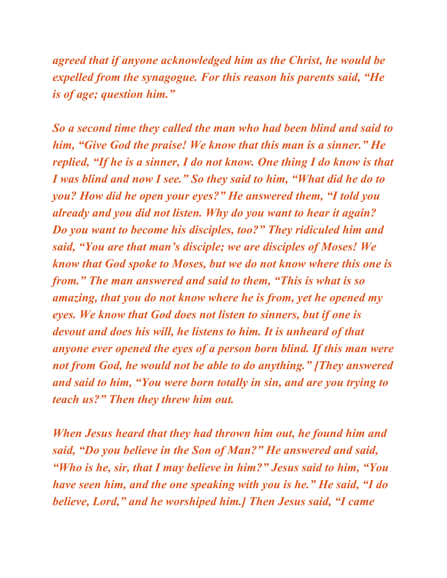*agreed that if anyone acknowledged him as the Christ, he would be expelled from the synagogue. For this reason his parents said, "He is of age; question him."*

*So a second time they called the man who had been blind and said to him, "Give God the praise! We know that this man is a sinner." He replied, "If he is a sinner, I do not know. One thing I do know is that I was blind and now I see." So they said to him, "What did he do to you? How did he open your eyes?" He answered them, "I told you already and you did not listen. Why do you want to hear it again? Do you want to become his disciples, too?" They ridiculed him and said, "You are that man's disciple; we are disciples of Moses! We know that God spoke to Moses, but we do not know where this one is from." The man answered and said to them, "This is what is so amazing, that you do not know where he is from, yet he opened my eyes. We know that God does not listen to sinners, but if one is devout and does his will, he listens to him. It is unheard of that anyone ever opened the eyes of a person born blind. If this man were not from God, he would not be able to do anything." [They answered and said to him, "You were born totally in sin, and are you trying to teach us?" Then they threw him out.*

*When Jesus heard that they had thrown him out, he found him and said, "Do you believe in the Son of Man?" He answered and said, "Who is he, sir, that I may believe in him?" Jesus said to him, "You have seen him, and the one speaking with you is he." He said, "I do believe, Lord," and he worshiped him.] Then Jesus said, "I came*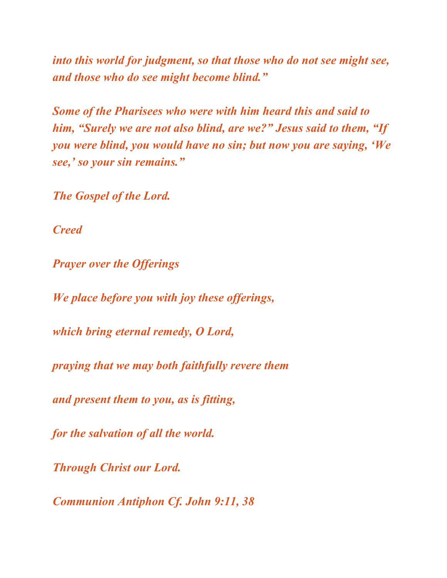*into this world for judgment, so that those who do not see might see, and those who do see might become blind."*

*Some of the Pharisees who were with him heard this and said to him, "Surely we are not also blind, are we?" Jesus said to them, "If you were blind, you would have no sin; but now you are saying, 'We see,' so your sin remains."*

*The Gospel of the Lord.*

*Creed*

*Prayer over the Offerings*

*We place before you with joy these offerings,*

*which bring eternal remedy, O Lord,*

*praying that we may both faithfully revere them*

*and present them to you, as is fitting,*

*for the salvation of all the world.*

*Through Christ our Lord.*

*Communion Antiphon Cf. John 9:11, 38*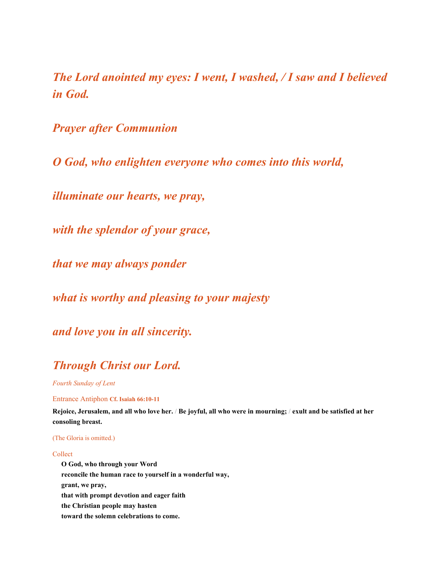*The Lord anointed my eyes: I went, I washed, / I saw and I believed in God.*

*Prayer after Communion*

*O God, who enlighten everyone who comes into this world,*

*illuminate our hearts, we pray,*

*with the splendor of your grace,*

*that we may always ponder*

*what is worthy and pleasing to your majesty*

*and love you in all sincerity.*

# *Through Christ our Lord.*

*Fourth Sunday of Lent*

Entrance Antiphon **Cf. Isaiah 66:10-11**

Rejoice, Jerusalem, and all who love her. / Be joyful, all who were in mourning; / exult and be satisfied at her **consoling breast.**

# (The Gloria is omitted.)

## Collect

**O God, who through your Word reconcile the human race to yourself in a wonderful way, grant, we pray, that with prompt devotion and eager faith the Christian people may hasten toward the solemn celebrations to come.**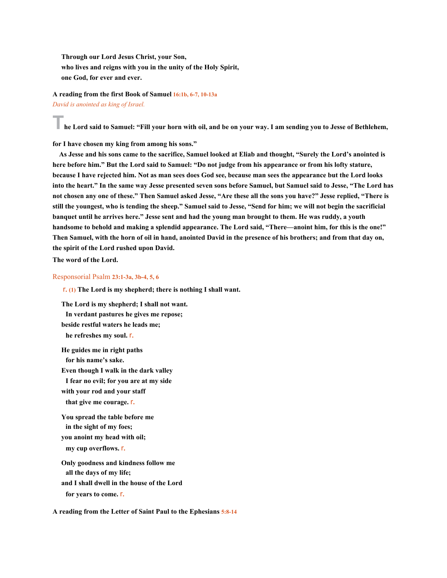**Through our Lord Jesus Christ, your Son, who lives and reigns with you in the unity of the Holy Spirit, one God, for ever and ever.**

**A reading from the first Book of Samuel 16:1b, 6-7, 10-13a** *David is anointed as king of Israel.*

In eLord said to Samuel: "Fill your horn with oil, and be on your way. I am sending you to Jesse of Bethlehem,

**for I have chosen my king from among his sons."**

As Jesse and his sons came to the sacrifice, Samuel looked at Eliab and thought, "Surely the Lord's anointed is here before him." But the Lord said to Samuel: "Do not judge from his appearance or from his lofty stature, because I have rejected him. Not as man sees does God see, because man sees the appearance but the Lord looks into the heart." In the same way Jesse presented seven sons before Samuel, but Samuel said to Jesse, "The Lord has not chosen any one of these." Then Samuel asked Jesse, "Are these all the sons you have?" Jesse replied, "There is still the youngest, who is tending the sheep." Samuel said to Jesse, "Send for him; we will not begin the sacrificial banquet until he arrives here." Jesse sent and had the young man brought to them. He was ruddy, a youth handsome to behold and making a splendid appearance. The Lord said, "There—anoint him, for this is the one!" Then Samuel, with the horn of oil in hand, anointed David in the presence of his brothers; and from that day on, **the spirit of the Lord rushed upon David.**

**The word of the Lord.**

Responsorial Psalm **23:1-3a, 3b-4, 5, 6**

r**. (1) The Lord is my shepherd; there is nothing I shall want.**

**The Lord is my shepherd; I shall not want. In verdant pastures he gives me repose; beside restful waters he leads me; he refreshes my soul.** r**.**

**He guides me in right paths for his name's sake.**

**Even though I walk in the dark valley I fear no evil; for you are at my side**

**with your rod and your staff**

**that give me courage.** r**.**

**You spread the table before me in the sight of my foes; you anoint my head with oil;**

**my cup overflows.** r**.**

**Only goodness and kindness follow me all the days of my life; and I shall dwell in the house of the Lord for years to come.** r**.**

**A reading from the Letter of Saint Paul to the Ephesians 5:8-14**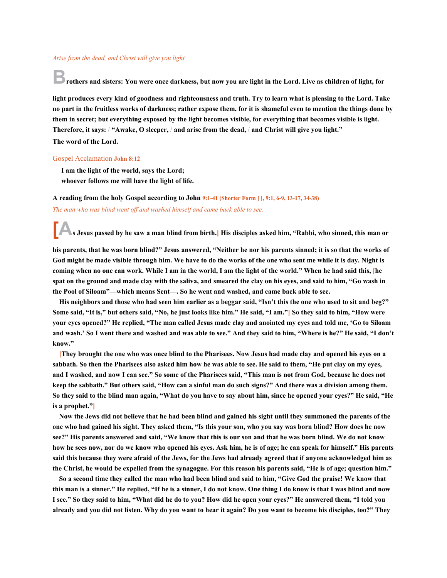## *Arise from the dead, and Christ will give you light.*

rothers and sisters: You were once darkness, but now you are light in the Lord. Live as children of light, for

light produces every kind of goodness and righteousness and truth. Try to learn what is pleasing to the Lord. Take no part in the fruitless works of darkness; rather expose them, for it is shameful even to mention the things done by them in secret; but everything exposed by the light becomes visible, for everything that becomes visible is light. Therefore, it says: / "Awake, O sleeper, / and arise from the dead, / and Christ will give you light."

**The word of the Lord.**

#### Gospel Acclamation **John 8:12**

**I am the light of the world, says the Lord; whoever follows me will have the light of life.**

**A reading from the holy Gospel according to John 9:1-41 (Shorter Form [ ], 9:1, 6-9, 13-17, 34-38)** *The man who was blind went off and washed himself and came back able to see.*

Soles Jesus passed by he saw a man blind from birth.] His disciples asked him, "Rabbi, who sinned, this man or

his parents, that he was born blind?" Jesus answered, "Neither he nor his parents sinned; it is so that the works of God might be made visible through him. We have to do the works of the one who sent me while it is day. Night is coming when no one can work. While I am in the world, I am the light of the world." When he had said this, he spat on the ground and made clay with the saliva, and smeared the clay on his eyes, and said to him, "Go wash in **the Pool of Siloam"—which means Sent—. So he went and washed, and came back able to see.**

His neighbors and those who had seen him earlier as a beggar said, "Isn't this the one who used to sit and beg?" Some said, "It is," but others said, "No, he just looks like him." He said, "I am." So they said to him, "How were your eves opened?" He replied, "The man called Jesus made clay and anointed my eves and told me, 'Go to Siloam and wash.' So I went there and washed and was able to see." And they said to him, "Where is he?" He said, "I don't **know."**

They brought the one who was once blind to the Pharisees. Now Jesus had made clay and opened his eyes on a sabbath. So then the Pharisees also asked him how he was able to see. He said to them, "He put clay on my eyes, and I washed, and now I can see." So some of the Pharisees said, "This man is not from God, because he does not keep the sabbath." But others said, "How can a sinful man do such signs?" And there was a division among them. So they said to the blind man again, "What do you have to say about him, since he opened your eyes?" He said, "He **is a prophet."]**

Now the Jews did not believe that he had been blind and gained his sight until they summoned the parents of the one who had gained his sight. They asked them, "Is this your son, who you say was born blind? How does he now see?" His parents answered and said, "We know that this is our son and that he was born blind. We do not know how he sees now, nor do we know who opened his eyes. Ask him, he is of age; he can speak for himself." His parents said this because they were afraid of the Jews, for the Jews had already agreed that if anyone acknowledged him as the Christ, he would be expelled from the synagogue. For this reason his parents said, "He is of age; question him."

So a second time they called the man who had been blind and said to him, "Give God the praise! We know that this man is a sinner." He replied, "If he is a sinner, I do not know. One thing I do know is that I was blind and now I see." So they said to him, "What did he do to you? How did he open your eyes?" He answered them, "I told you already and you did not listen. Why do you want to hear it again? Do you want to become his disciples, too?" They